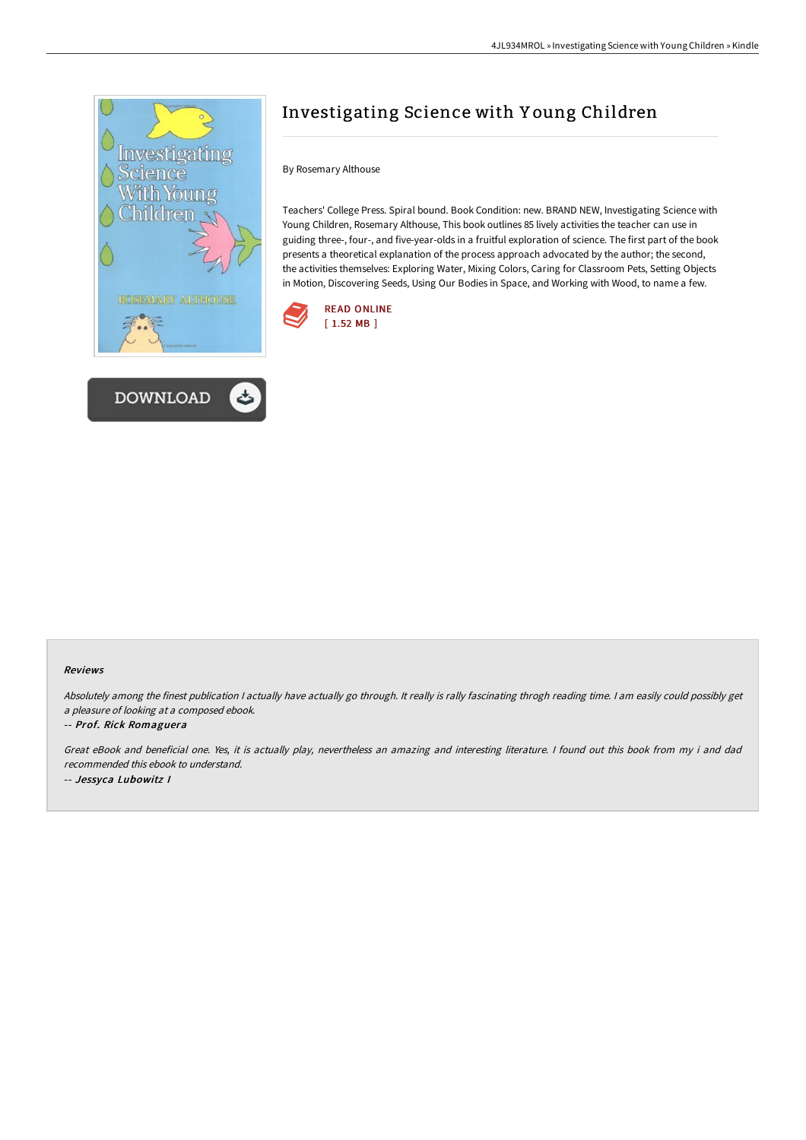



# Investigating Science with Y oung Children

## By Rosemary Althouse

Teachers' College Press. Spiral bound. Book Condition: new. BRAND NEW, Investigating Science with Young Children, Rosemary Althouse, This book outlines 85 lively activities the teacher can use in guiding three-, four-, and five-year-olds in a fruitful exploration of science. The first part of the book presents a theoretical explanation of the process approach advocated by the author; the second, the activities themselves: Exploring Water, Mixing Colors, Caring for Classroom Pets, Setting Objects in Motion, Discovering Seeds, Using Our Bodies in Space, and Working with Wood, to name a few.



#### Reviews

Absolutely among the finest publication I actually have actually go through. It really is rally fascinating throgh reading time. I am easily could possibly get <sup>a</sup> pleasure of looking at <sup>a</sup> composed ebook.

#### -- Prof. Rick Romaguera

Great eBook and beneficial one. Yes, it is actually play, nevertheless an amazing and interesting literature. <sup>I</sup> found out this book from my i and dad recommended this ebook to understand. -- Jessyca Lubowitz I